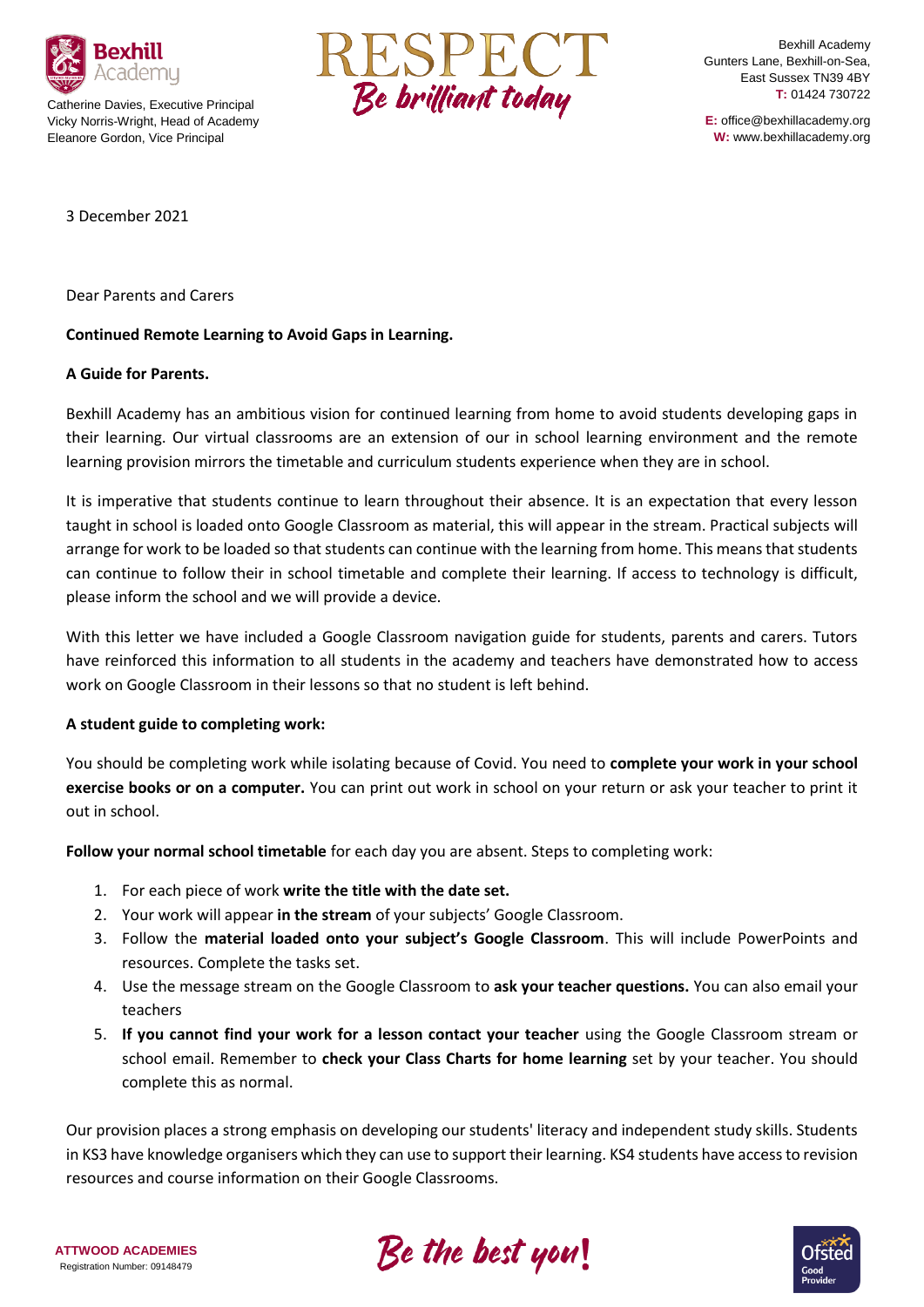

Catherine Davies, Executive Principal Vicky Norris-Wright, Head of Academy Eleanore Gordon, Vice Principal



Bexhill Academy Gunters Lane, Bexhill-on-Sea, East Sussex TN39 4BY **T:** 01424 730722

**E:** office@bexhillacademy.org **W:** www.bexhillacademy.org

3 December 2021

Dear Parents and Carers

## **Continued Remote Learning to Avoid Gaps in Learning.**

## **A Guide for Parents.**

Bexhill Academy has an ambitious vision for continued learning from home to avoid students developing gaps in their learning. Our virtual classrooms are an extension of our in school learning environment and the remote learning provision mirrors the timetable and curriculum students experience when they are in school.

It is imperative that students continue to learn throughout their absence. It is an expectation that every lesson taught in school is loaded onto Google Classroom as material, this will appear in the stream. Practical subjects will arrange for work to be loaded so that students can continue with the learning from home. This means that students can continue to follow their in school timetable and complete their learning. If access to technology is difficult, please inform the school and we will provide a device.

With this letter we have included a Google Classroom navigation guide for students, parents and carers. Tutors have reinforced this information to all students in the academy and teachers have demonstrated how to access work on Google Classroom in their lessons so that no student is left behind.

## **A student guide to completing work:**

You should be completing work while isolating because of Covid. You need to **complete your work in your school exercise books or on a computer.** You can print out work in school on your return or ask your teacher to print it out in school.

**Follow your normal school timetable** for each day you are absent. Steps to completing work:

- 1. For each piece of work **write the title with the date set.**
- 2. Your work will appear **in the stream** of your subjects' Google Classroom.
- 3. Follow the **material loaded onto your subject's Google Classroom**. This will include PowerPoints and resources. Complete the tasks set.
- 4. Use the message stream on the Google Classroom to **ask your teacher questions.** You can also email your teachers
- 5. **If you cannot find your work for a lesson contact your teacher** using the Google Classroom stream or school email. Remember to **check your Class Charts for home learning** set by your teacher. You should complete this as normal.

Our provision places a strong emphasis on developing our students' literacy and independent study skills. Students in KS3 have knowledge organisers which they can use to support their learning. KS4 students have access to revision resources and course information on their Google Classrooms.